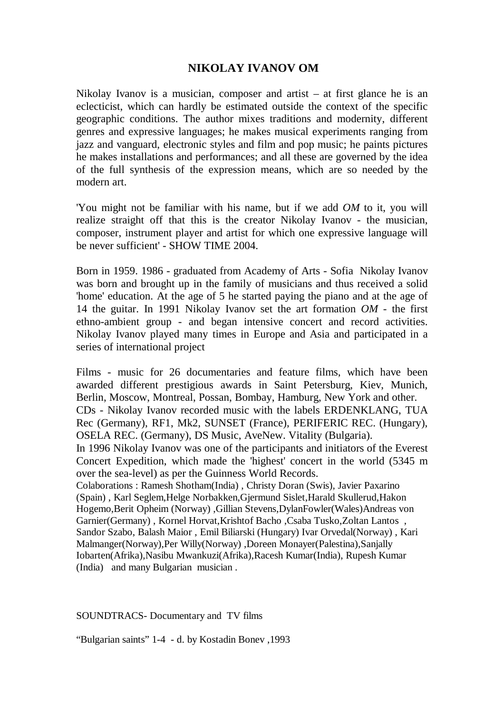## **NIKOLAY IVANOV OM**

Nikolay Ivanov is a musician, composer and artist  $-$  at first glance he is an eclecticist, which can hardly be estimated outside the context of the specific geographic conditions. The author mixes traditions and modernity, different genres and expressive languages; he makes musical experiments ranging from jazz and vanguard, electronic styles and film and pop music; he paints pictures he makes installations and performances; and all these are governed by the idea of the full synthesis of the expression means, which are so needed by the modern art.

'You might not be familiar with his name, but if we add *OM* to it, you will realize straight off that this is the creator Nikolay Ivanov - the musician, composer, instrument player and artist for which one expressive language will be never sufficient' - SHOW TIME 2004.

Born in 1959. 1986 - graduated from Academy of Arts - Sofia Nikolay Ivanov was born and brought up in the family of musicians and thus received a solid 'home' education. At the age of 5 he started paying the piano and at the age of 14 the guitar. In 1991 Nikolay Ivanov set the art formation *OM* - the first ethno-ambient group - and began intensive concert and record activities. Nikolay Ivanov played many times in Europe and Asia and participated in a series of international project

Films - music for 26 documentaries and feature films, which have been awarded different prestigious awards in Saint Petersburg, Kiev, Munich, Berlin, Moscow, Montreal, Possan, Bombay, Hamburg, New York and other. CDs - Nikolay Ivanov recorded music with the labels ERDENKLANG, TUA Rec (Germany), RF1, Mk2, SUNSET (France), PERIFERIC REC. (Hungary), OSELA REC. (Germany), DS Music, AveNew. Vitality (Bulgaria). In 1996 Nikolay Ivanov was one of the participants and initiators of the Everest Concert Expedition, which made the 'highest' concert in the world (5345 m over the sea-level) as per the Guinness World Records. Colaborations : Ramesh Shotham(India) , Christy Doran (Swis), Javier Paxarino (Spain) , Karl Seglem,Helge Norbakken,Gjermund Sislet,Harald Skullerud,Hakon Hogemo,Berit Opheim (Norway) ,Gillian Stevens,DylanFowler(Wales)Andreas von Garnier(Germany) , Kornel Horvat,Krishtof Bacho ,Csaba Tusko,Zoltan Lantos , Sandor Szabo, Balash Maior , Emil Biliarski (Hungary) Ivar Orvedal(Norway) , Kari Malmanger(Norway),Per Willy(Norway) ,Doreen Monayer(Palestina),Sanjally Iobarten(Afrika),Nasibu Mwankuzi(Afrika),Racesh Kumar(India), Rupesh Kumar (India) and many Bulgarian musician .

SOUNDTRACS- Documentary and TV films

"Bulgarian saints" 1-4 - d. by Kostadin Bonev ,1993